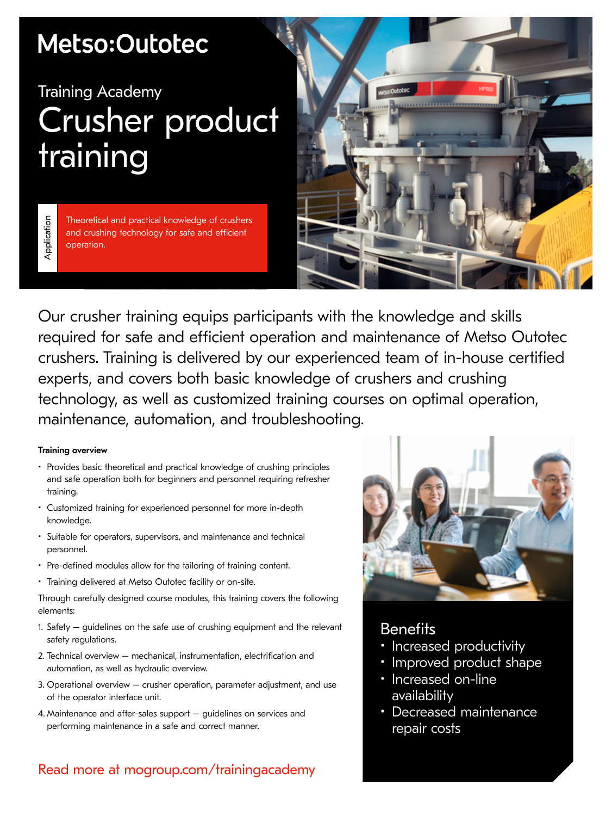## Metso:Outotec

## Training Academy Crusher product training

Theoretical and practical knowledge of crushers and crushing technology for safe and efficient operation.



Our crusher training equips participants with the knowledge and skills required for safe and efficient operation and maintenance of Metso Outotec crushers. Training is delivered by our experienced team of in-house certified experts, and covers both basic knowledge of crushers and crushing technology, as well as customized training courses on optimal operation, maintenance, automation, and troubleshooting.

#### Training overview

Application

Application

- Provides basic theoretical and practical knowledge of crushing principles and safe operation both for beginners and personnel requiring refresher training.
- Customized training for experienced personnel for more in-depth knowledge.
- Suitable for operators, supervisors, and maintenance and technical personnel.
- Pre-defined modules allow for the tailoring of training content.
- Training delivered at Metso Outotec facility or on-site.

Through carefully designed course modules, this training covers the following elements:

- 1. Safety guidelines on the safe use of crushing equipment and the relevant safety regulations.
- 2. Technical overview mechanical, instrumentation, electrification and automation, as well as hydraulic overview.
- 3. Operational overview crusher operation, parameter adjustment, and use of the operator interface unit.
- 4. Maintenance and after-sales support guidelines on services and performing maintenance in a safe and correct manner.

### Read more at mogroup.com/trainingacademy



### **Benefits**

- Increased productivity
- Improved product shape
- Increased on-line availability
- Decreased maintenance repair costs